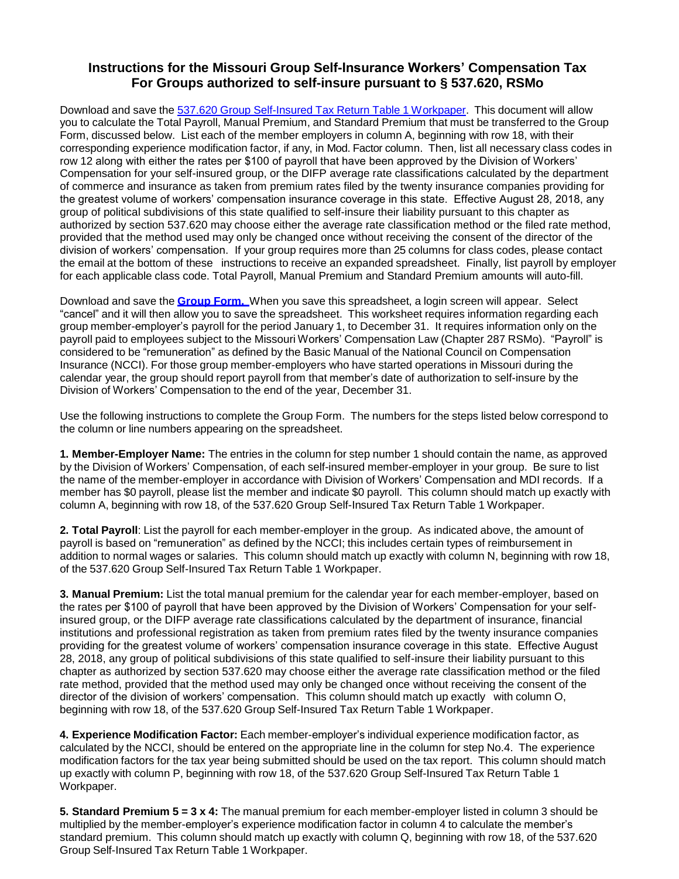## **Instructions for the Missouri Group Self-Insurance Workers' Compensation Tax For Groups authorized to self-insure pursuant to § 537.620, RSMo**

Download and save the 537.620 Group [Self-Insured](https://insurance.mo.gov/industry/forms/documents/537-620-group-self-insured-workpaper.xls) Tax Return Table 1 Workpaper. This document will allow you to calculate the Total Payroll, Manual Premium, and Standard Premium that must be transferred to the Group Form, discussed below. List each of the member employers in column A, beginning with row 18, with their corresponding experience modification factor, if any, in Mod. Factor column. Then, list all necessary class codes in row 12 along with either the rates per \$100 of payroll that have been approved by the Division of Workers' Compensation for your self-insured group, or the DIFP average rate classifications calculated by the department of commerce and insurance as taken from premium rates filed by the twenty insurance companies providing for the greatest volume of workers' compensation insurance coverage in this state. Effective August 28, 2018, any group of political subdivisions of this state qualified to self-insure their liability pursuant to this chapter as authorized by section 537.620 may choose either the average rate classification method or the filed rate method, provided that the method used may only be changed once without receiving the consent of the director of the division of workers' compensation. If your group requires more than 25 columns for class codes, please contact the email at the bottom of these instructions to receive an expanded spreadsheet. Finally, list payroll by employer for each applicable class code. Total Payroll, Manual Premium and Standard Premium amounts will auto-fill.

Download and save the **[Group](https://insurance.mo.gov/industry/forms/group_form10-10-14.xls) Form.** When you save this spreadsheet, a login screen will appear. Select "cancel" and it will then allow you to save the spreadsheet. This worksheet requires information regarding each group member-employer's payroll for the period January 1, to December 31. It requires information only on the payroll paid to employees subject to the Missouri Workers' Compensation Law (Chapter 287 RSMo). "Payroll" is considered to be "remuneration" as defined by the Basic Manual of the National Council on Compensation Insurance (NCCI). For those group member-employers who have started operations in Missouri during the calendar year, the group should report payroll from that member's date of authorization to self-insure by the Division of Workers' Compensation to the end of the year, December 31.

Use the following instructions to complete the Group Form. The numbers for the steps listed below correspond to the column or line numbers appearing on the spreadsheet.

**1. Member-Employer Name:** The entries in the column for step number 1 should contain the name, as approved by the Division of Workers' Compensation, of each self-insured member-employer in your group. Be sure to list the name of the member-employer in accordance with Division of Workers' Compensation and MDI records. If a member has \$0 payroll, please list the member and indicate \$0 payroll. This column should match up exactly with column A, beginning with row 18, of the 537.620 Group Self-Insured Tax Return Table 1 Workpaper.

**2. Total Payroll**: List the payroll for each member-employer in the group. As indicated above, the amount of payroll is based on "remuneration" as defined by the NCCI; this includes certain types of reimbursement in addition to normal wages or salaries. This column should match up exactly with column N, beginning with row 18, of the 537.620 Group Self-Insured Tax Return Table 1 Workpaper.

**3. Manual Premium:** List the total manual premium for the calendar year for each member-employer, based on the rates per \$100 of payroll that have been approved by the Division of Workers' Compensation for your selfinsured group, or the DIFP average rate classifications calculated by the department of insurance, financial institutions and professional registration as taken from premium rates filed by the twenty insurance companies providing for the greatest volume of workers' compensation insurance coverage in this state. Effective August 28, 2018, any group of political subdivisions of this state qualified to self-insure their liability pursuant to this chapter as authorized by section 537.620 may choose either the average rate classification method or the filed rate method, provided that the method used may only be changed once without receiving the consent of the director of the division of workers' compensation. This column should match up exactly with column O, beginning with row 18, of the 537.620 Group Self-Insured Tax Return Table 1 Workpaper.

**4. Experience Modification Factor:** Each member-employer's individual experience modification factor, as calculated by the NCCI, should be entered on the appropriate line in the column for step No.4. The experience modification factors for the tax year being submitted should be used on the tax report. This column should match up exactly with column P, beginning with row 18, of the 537.620 Group Self-Insured Tax Return Table 1 Workpaper.

**5. Standard Premium 5 = 3 x 4:** The manual premium for each member-employer listed in column 3 should be multiplied by the member-employer's experience modification factor in column 4 to calculate the member's standard premium. This column should match up exactly with column Q, beginning with row 18, of the 537.620 Group Self-Insured Tax Return Table 1 Workpaper.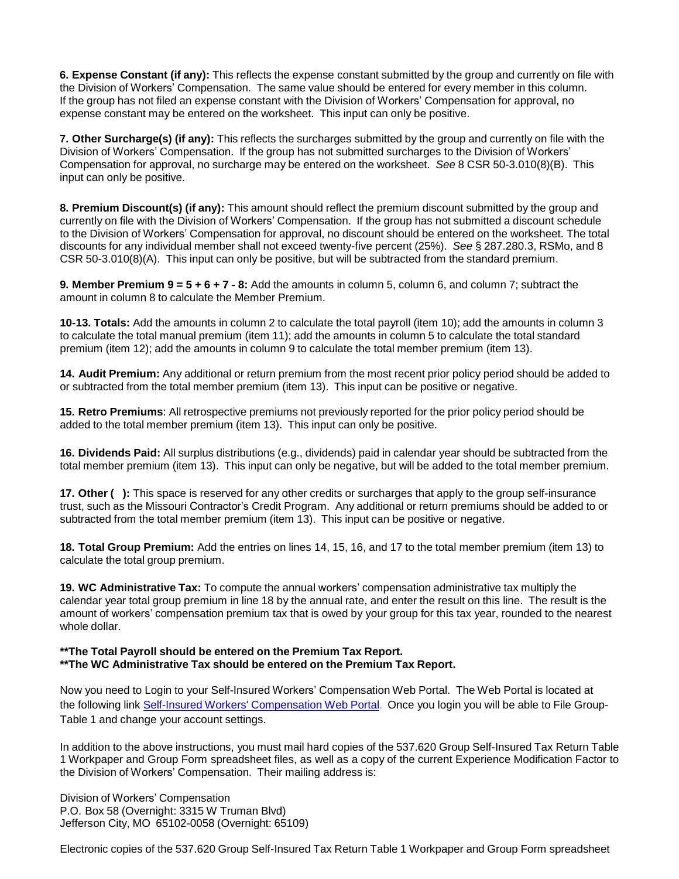**6. Expense Constant (if any):** This reflects the expense constant submitted by the group and currently on file with the Division of Workers' Compensation. The same value should be entered for every member in this column. If the group has not filed an expense constant with the Division of Workers' Compensation for approval, no expense constant may be entered on the worksheet. This input can only be positive.

**7. Other Surcharge(s) (if any):** This reflects the surcharges submitted by the group and currently on file with the Division of Workers' Compensation. If the group has not submitted surcharges to the Division of Workers' Compensation for approval, no surcharge may be entered on the worksheet. *See* 8 CSR 50-3.010(8)(B). This input can only be positive.

**8. Premium Discount(s) (if any):** This amount should reflect the premium discount submitted by the group and currently on file with the Division of Workers' Compensation. If the group has not submitted a discount schedule to the Division of Workers' Compensation for approval, no discount should be entered on the worksheet. The total discounts for any individual member shall not exceed twenty-five percent (25%). *See* § 287.280.3, RSMo, and 8 CSR 50-3.010(8)(A). This input can only be positive, but will be subtracted from the standard premium.

**9. Member Premium 9 = 5 + 6 + 7 - 8:** Add the amounts in column 5, column 6, and column 7; subtract the amount in column 8 to calculate the Member Premium.

**10-13. Totals:** Add the amounts in column 2 to calculate the total payroll (item 10); add the amounts in column 3 to calculate the total manual premium (item 11); add the amounts in column 5 to calculate the total standard premium (item 12); add the amounts in column 9 to calculate the total member premium (item 13).

**14. Audit Premium:** Any additional or return premium from the most recent prior policy period should be added to or subtracted from the total member premium (item 13). This input can be positive or negative.

**15. Retro Premiums**: All retrospective premiums not previously reported for the prior policy period should be added to the total member premium (item 13). This input can only be positive.

**16. Dividends Paid:** All surplus distributions (e.g., dividends) paid in calendar year should be subtracted from the total member premium (item 13). This input can only be negative, but will be added to the total member premium.

**17. Other ( ):** This space is reserved for any other credits or surcharges that apply to the group self-insurance trust, such as the Missouri Contractor's Credit Program. Any additional or return premiums should be added to or subtracted from the total member premium (item 13). This input can be positive or negative.

**18. Total Group Premium:** Add the entries on lines 14, 15, 16, and 17 to the total member premium (item 13) to calculate the total group premium.

**19. WC Administrative Tax:** To compute the annual workers' compensation administrative tax multiply the calendar year total group premium in line 18 by the annual rate, and enter the result on this line. The result is the amount of workers' compensation premium tax that is owed by your group for this tax year, rounded to the nearest whole dollar.

## **\*\*The Total Payroll should be entered on the Premium Tax Report. \*\*The WC Administrative Tax should be entered on the Premium Tax Report.**

Now you need to Login to your Self-Insured Workers' Compensation Web Portal. The Web Portal is located at the following link Self-Insured Workers' [Compensation](https://apps.dci.mo.gov/SIWorkComp/Login.aspx) Web Portal. Once you login you will be able to File Group-Table 1 and change your account settings.

In addition to the above instructions, you must mail hard copies of the 537.620 Group Self-Insured Tax Return Table 1 Workpaper and Group Form spreadsheet files, as well as a copy of the current Experience Modification Factor to the Division of Workers' Compensation. Their mailing address is:

Division of Workers' Compensation P.O. Box 58 (Overnight: 3315 W Truman Blvd) Jefferson City, MO 65102-0058 (Overnight: 65109)

Electronic copies of the 537.620 Group Self-Insured Tax Return Table 1 Workpaper and Group Form spreadsheet